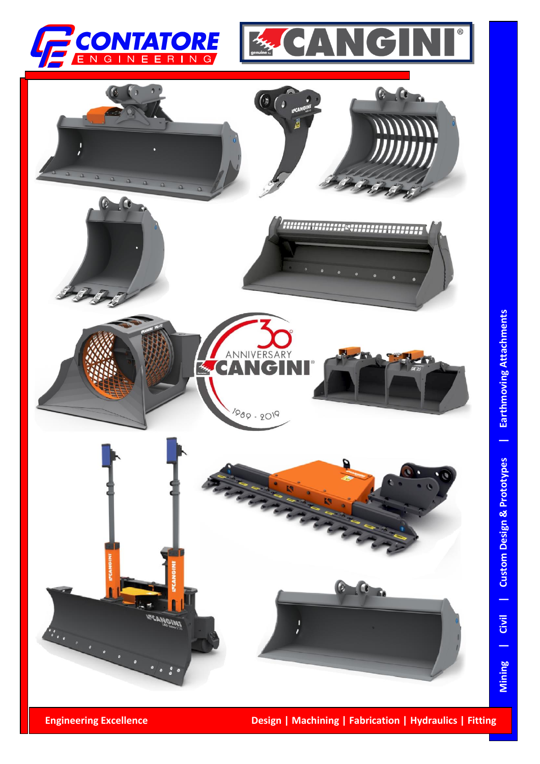